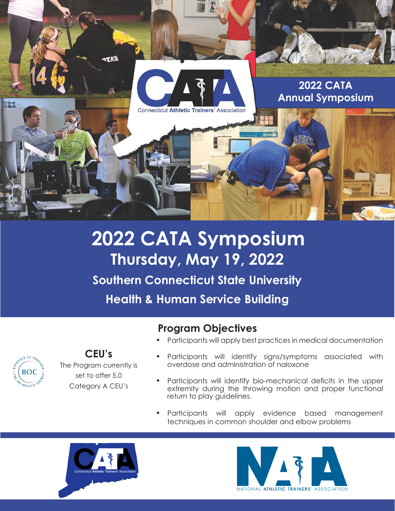

# **2022 CATA Symposium Thursday, May 19, 2022 Southern Connecticut State University Health & Human Service Building**

## **Program Objectives**

Participants will apply best practices in medical documentation



- Participants will identify signs/symptoms associated with overdose and administration of naloxone
- Participants will identify bio-mechanical deficits in the upper extremity during the throwing motion and proper functional return to play guidelines.
- Participants will apply evidence based management techniques in common shoulder and elbow problems



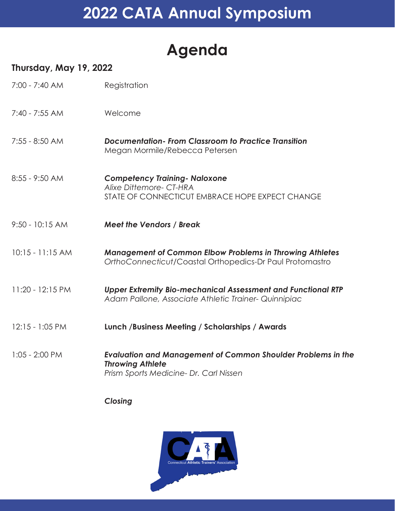## **2022 CATA Annual Symposium**

# **Agenda**

#### **Thursday, May 19, 2022**

- 7:00 7:40 AM Registration
- 7:40 7:55 AM Welcome
- 7:55 8:50 AM *Documentation- From Classroom to Practice Transition* Megan Mormile/Rebecca Petersen
- 8:55 9:50 AM *Competency Training- Naloxone Alixe Dittemore- CT-HRA*  STATE OF CONNECTICUT EMBRACE HOPE EXPECT CHANGE
- 9:50 10:15 AM *Meet the Vendors / Break*
- 10:15 11:15 AM *Management of Common Elbow Problems in Throwing Athletes OrthoConnecticut/*Coastal Orthopedics-Dr Paul Protomastro
- 11:20 12:15 PM *Upper Extremity Bio-mechanical Assessment and Functional RTP Adam Pallone, Associate Athletic Trainer- Quinnipiac*
- 12:15 1:05 PM **Lunch /Business Meeting / Scholarships / Awards**
- 1:05 2:00 PM *Evaluation and Management of Common Shoulder Problems in the Throwing Athlete Prism Sports Medicine- Dr. Carl Nissen*

#### *Closing*